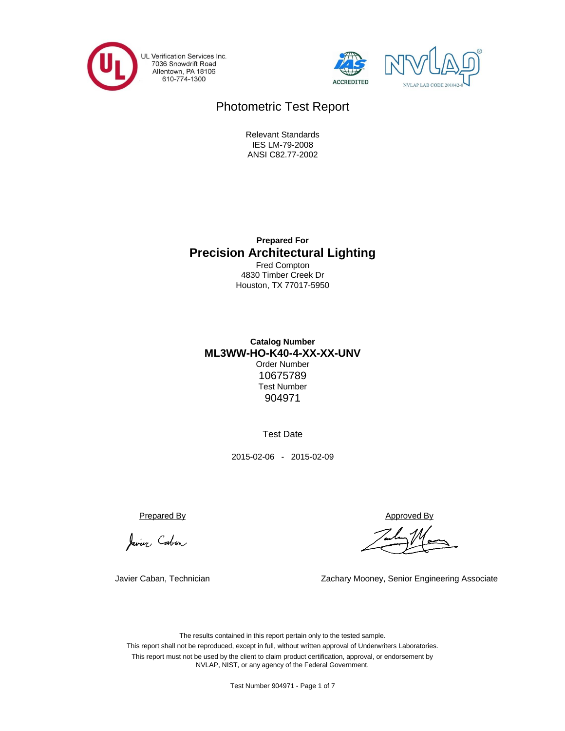





# Photometric Test Report

ANSI C82.77-2002 IES LM-79-2008 Relevant Standards

**Precision Architectural Lighting Prepared For**

Houston, TX 77017-5950 4830 Timber Creek Dr Fred Compton

Test Number **Catalog Number ML3WW-HO-K40-4-XX-XX-UNV** 10675789 Order Number 904971

Test Date

2015-02-06 - 2015-02-09

Javier Cabon

Javier Caban, Technician

Prepared By Approved By

Zachary Mooney, Senior Engineering Associate

This report must not be used by the client to claim product certification, approval, or endorsement by NVLAP, NIST, or any agency of the Federal Government. The results contained in this report pertain only to the tested sample. This report shall not be reproduced, except in full, without written approval of Underwriters Laboratories.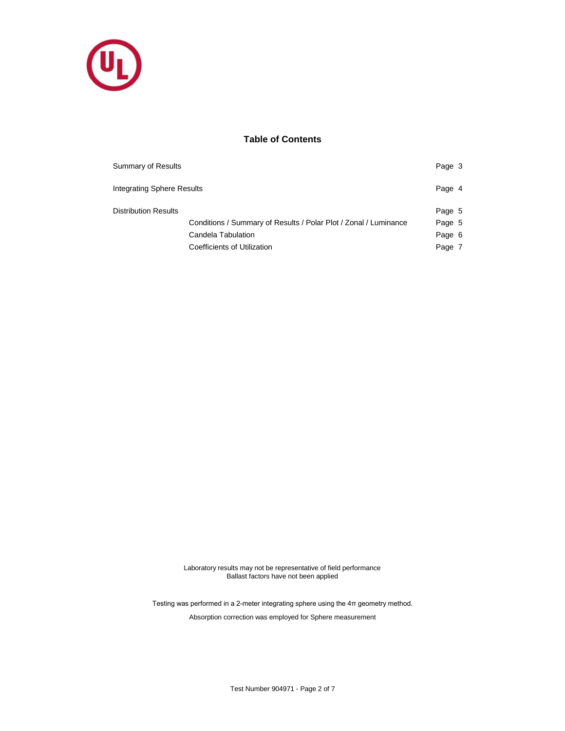

## **Table of Contents**

| Summary of Results          |                                                                  | Page 3 |  |
|-----------------------------|------------------------------------------------------------------|--------|--|
| Integrating Sphere Results  |                                                                  | Page 4 |  |
| <b>Distribution Results</b> |                                                                  | Page 5 |  |
|                             | Conditions / Summary of Results / Polar Plot / Zonal / Luminance | Page 5 |  |
|                             | Candela Tabulation                                               | Page 6 |  |
|                             | Coefficients of Utilization                                      | Page 7 |  |

Laboratory results may not be representative of field performance Ballast factors have not been applied

Testing was performed in a 2-meter integrating sphere using the 4π geometry method.

Absorption correction was employed for Sphere measurement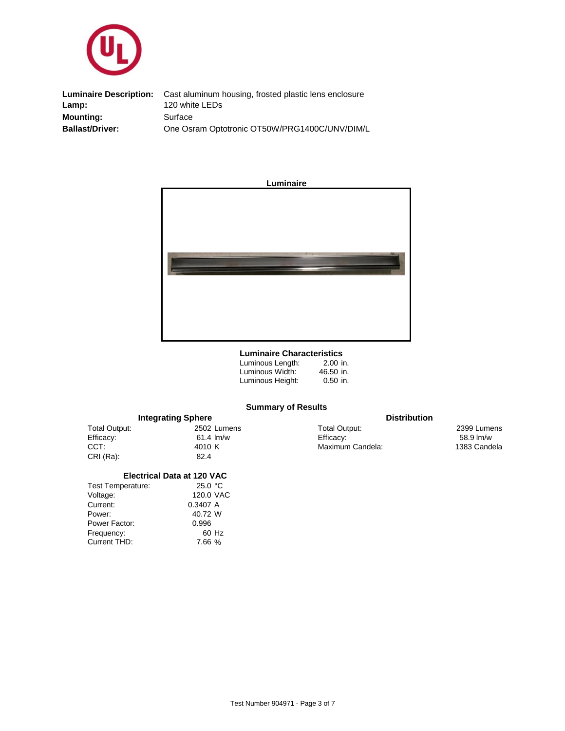

**Luminaire Description:** Lamp: 120 white LEDs **Mounting: Ballast/Driver:** One Osram Optotronic OT50W/PRG1400C/UNV/DIM/L **Surface** Cast aluminum housing, frosted plastic lens enclosure



#### **Luminaire Characteristics**

| Luminous Length: | $2.00$ in. |
|------------------|------------|
| Luminous Width:  | 46.50 in.  |
| Luminous Height: | $0.50$ in. |

## **Summary of Results**

|               | <b>Integrating Sphere</b> | <b>Distribution</b> |                     |
|---------------|---------------------------|---------------------|---------------------|
| Total Output: | 2502 Lumens               | Total Output:       | 2399 Lumens         |
| Efficacy:     | $61.4 \,$ lm/w            | Efficacy:           | $58.9 \text{ Im/w}$ |
| CCT:          | 4010 K                    | Maximum Candela:    | 1383 Candela        |
| CRI (Ra):     | 82.4                      |                     |                     |

### **Electrical Data at 120 VAC**

| 25.0 °C   |
|-----------|
| 120.0 VAC |
| 0.3407 A  |
| 40.72 W   |
| 0.996     |
| 60 Hz     |
| 7.66 %    |
|           |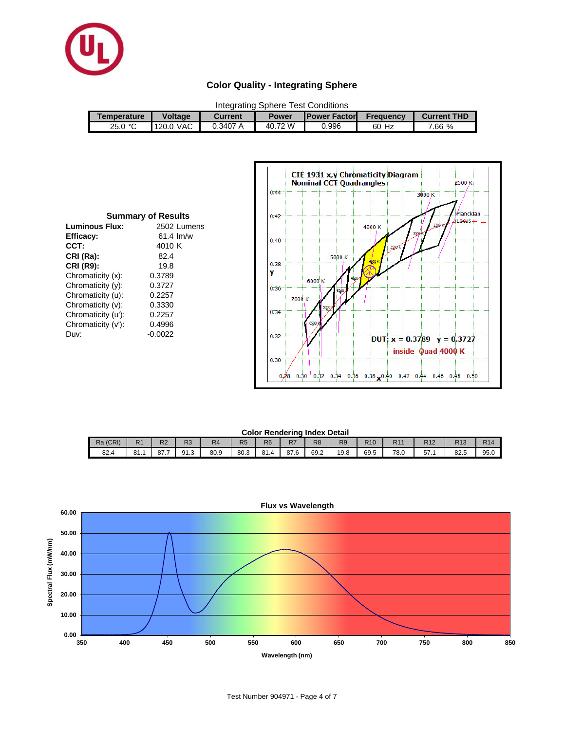

## **Color Quality - Integrating Sphere**

| Integrating Sphere Test Conditions |                |          |         |                       |                  |                    |  |  |
|------------------------------------|----------------|----------|---------|-----------------------|------------------|--------------------|--|--|
| Temperature                        | <b>Voltage</b> | Current  | Power   | <b>IPower Factorl</b> | <b>Frequency</b> | <b>Current THD</b> |  |  |
| 25.0 °C                            | 120.0 VAC      | 0.3407 A | 40.72 W | 0.996                 | 60 Hz            | 7.66 %             |  |  |

| <b>Summary of Results</b> |                |  |  |  |  |  |  |  |  |
|---------------------------|----------------|--|--|--|--|--|--|--|--|
| Luminous Flux:            | 2502 Lumens    |  |  |  |  |  |  |  |  |
| Efficacy:                 | $61.4 \,$ lm/w |  |  |  |  |  |  |  |  |
| CCT:                      | 4010 K         |  |  |  |  |  |  |  |  |
| CRI (Ra):                 | 82.4           |  |  |  |  |  |  |  |  |
| <b>CRI (R9):</b>          | 19.8           |  |  |  |  |  |  |  |  |
| Chromaticity (x):         | 0.3789         |  |  |  |  |  |  |  |  |
| Chromaticity (y):         | 0.3727         |  |  |  |  |  |  |  |  |
| Chromaticity (u):         | 0.2257         |  |  |  |  |  |  |  |  |
| Chromaticity (v):         | 0.3330         |  |  |  |  |  |  |  |  |
| Chromaticity (u'):        | 0.2257         |  |  |  |  |  |  |  |  |
| Chromaticity (v'):        | 0.4996         |  |  |  |  |  |  |  |  |
| Duv:                      | $-0.0022$      |  |  |  |  |  |  |  |  |



#### **Color Rendering Index Detail**

| OUIVE INVITUUTIITU IITUUA DULUIT |                |                |                 |                |                |                         |                      |                |                |                 |      |                 |            |            |
|----------------------------------|----------------|----------------|-----------------|----------------|----------------|-------------------------|----------------------|----------------|----------------|-----------------|------|-----------------|------------|------------|
| Ra (CRI)                         | R <sub>1</sub> | R <sub>2</sub> | <b>DO</b><br>кs | R <sub>4</sub> | R <sub>5</sub> | R <sub>6</sub>          | R <sub>7</sub>       | R <sub>8</sub> | R <sub>9</sub> | R <sub>10</sub> | R1   | R <sub>12</sub> | D42<br>טוח | <b>R14</b> |
| 82.4                             | 81.1           | 87.7           | 91.3            | 80.9           | 80.3           | 0 <sub>A</sub><br>o I.4 | 07<br>$\sim$<br>87.6 | 69.2           | 19.8           | 69.5            | 78.0 | 57.1            | 00<br>82.S | 95.0       |

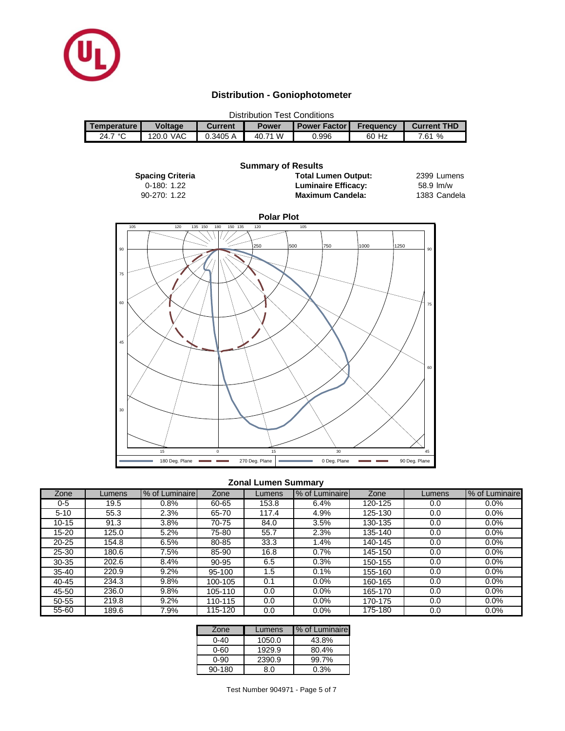

## **Distribution - Goniophotometer**

| <b>Distribution Test Conditions</b> |                |         |              |                       |                  |                    |  |  |
|-------------------------------------|----------------|---------|--------------|-----------------------|------------------|--------------------|--|--|
| <b>Temperature</b>                  | <b>Voltage</b> | Current | <b>Power</b> | <b>Power Factor I</b> | <b>Frequency</b> | <b>Current THD</b> |  |  |
| 24.7 °C                             | 120.0 VAC      | 0.3405A | 40.71 W      | 0.996                 | 60 Hz            | %<br>7.61          |  |  |



## **Zonal Lumen Summary**

| Zone      | Lumens | % of Luminaire | Zone    | Lumens | % of Luminaire | Zone    | Lumens | % of Luminaire |
|-----------|--------|----------------|---------|--------|----------------|---------|--------|----------------|
| 0-5       | 19.5   | $0.8\%$        | 60-65   | 153.8  | 6.4%           | 120-125 | 0.0    | 0.0%           |
| $5 - 10$  | 55.3   | 2.3%           | 65-70   | 117.4  | 4.9%           | 125-130 | 0.0    | 0.0%           |
| $10 - 15$ | 91.3   | 3.8%           | 70-75   | 84.0   | 3.5%           | 130-135 | 0.0    | 0.0%           |
| 15-20     | 125.0  | 5.2%           | 75-80   | 55.7   | 2.3%           | 135-140 | 0.0    | 0.0%           |
| $20 - 25$ | 154.8  | 6.5%           | 80-85   | 33.3   | .4%            | 140-145 | 0.0    | 0.0%           |
| 25-30     | 180.6  | 7.5%           | 85-90   | 16.8   | 0.7%           | 145-150 | 0.0    | 0.0%           |
| 30-35     | 202.6  | 8.4%           | 90-95   | 6.5    | 0.3%           | 150-155 | 0.0    | 0.0%           |
| $35 - 40$ | 220.9  | 9.2%           | 95-100  | 1.5    | 0.1%           | 155-160 | 0.0    | 0.0%           |
| $40 - 45$ | 234.3  | 9.8%           | 100-105 | 0.1    | 0.0%           | 160-165 | 0.0    | 0.0%           |
| 45-50     | 236.0  | 9.8%           | 105-110 | 0.0    | $0.0\%$        | 165-170 | 0.0    | 0.0%           |
| 50-55     | 219.8  | 9.2%           | 110-115 | 0.0    | 0.0%           | 170-175 | 0.0    | 0.0%           |
| 55-60     | 189.6  | 7.9%           | 115-120 | 0.0    | 0.0%           | 175-180 | 0.0    | 0.0%           |

| Zone   | Lumens | % of Luminaire |
|--------|--------|----------------|
| ი-4ი   | 1050.0 | 43.8%          |
| 0-60   | 1929.9 | 80.4%          |
| 0-90   | 2390.9 | 99.7%          |
| 90-180 | 8.0    | 0.3%           |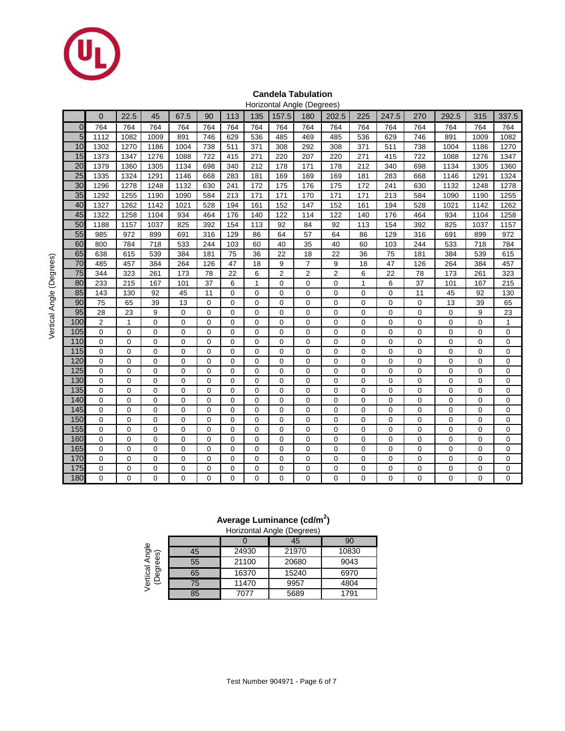

## **Candela Tabulation**

|                 |                |              |                |                |                |                |              |                | Horizontal Angle (Degrees) |                |              |                |     |                |             |                  |
|-----------------|----------------|--------------|----------------|----------------|----------------|----------------|--------------|----------------|----------------------------|----------------|--------------|----------------|-----|----------------|-------------|------------------|
|                 | 0              | 22.5         | 45             | 67.5           | 90             | 113            | 135          | 157.5          | 180                        | 202.5          | 225          | 247.5          | 270 | 292.5          | 315         | 337.5            |
| $\overline{0}$  | 764            | 764          | 764            | 764            | 764            | 764            | 764          | 764            | 764                        | 764            | 764          | 764            | 764 | 764            | 764         | 764              |
| 5               | 1112           | 1082         | 1009           | 891            | 746            | 629            | 536          | 485            | 469                        | 485            | 536          | 629            | 746 | 891            | 1009        | 1082             |
| 10              | 1302           | 1270         | 1186           | 1004           | 738            | 511            | 371          | 308            | 292                        | 308            | 371          | 511            | 738 | 1004           | 1186        | 1270             |
| 15              | 1373           | 1347         | 1276           | 1088           | 722            | 415            | 271          | 220            | 207                        | 220            | 271          | 415            | 722 | 1088           | 1276        | 1347             |
| 20              | 1379           | 1360         | 1305           | 1134           | 698            | 340            | 212          | 178            | 171                        | 178            | 212          | 340            | 698 | 1134           | 1305        | 1360             |
| $\overline{25}$ | 1335           | 1324         | 1291           | 1146           | 668            | 283            | 181          | 169            | 169                        | 169            | 181          | 283            | 668 | 1146           | 1291        | 1324             |
| 30              | 1296           | 1278         | 1248           | 1132           | 630            | 241            | 172          | 175            | 176                        | 175            | 172          | 241            | 630 | 1132           | 1248        | 1278             |
| 35              | 1292           | 1255         | 1190           | 1090           | 584            | 213            | 171          | 171            | 170                        | 171            | 171          | 213            | 584 | 1090           | 1190        | 1255             |
| 40              | 1327           | 1262         | 1142           | 1021           | 528            | 194            | 161          | 152            | 147                        | 152            | 161          | 194            | 528 | 1021           | 1142        | 1262             |
| 45              | 1322           | 1258         | 1104           | 934            | 464            | 176            | 140          | 122            | 114                        | 122            | 140          | 176            | 464 | 934            | 1104        | 1258             |
| 50              | 1188           | 1157         | 1037           | 825            | 392            | 154            | 113          | 92             | 84                         | 92             | 113          | 154            | 392 | 825            | 1037        | 1157             |
| 55              | 985            | 972          | 899            | 691            | 316            | 129            | 86           | 64             | 57                         | 64             | 86           | 129            | 316 | 691            | 899         | 972              |
| 60              | 800            | 784          | 718            | 533            | 244            | 103            | 60           | 40             | 35                         | 40             | 60           | 103            | 244 | 533            | 718         | 784              |
| 65              | 638            | 615          | 539            | 384            | 181            | 75             | 36           | 22             | 18                         | 22             | 36           | 75             | 181 | 384            | 539         | 615              |
| $\overline{70}$ | 485            | 457          | 384            | 264            | 126            | 47             | 18           | 9              | $\overline{7}$             | 9              | 18           | 47             | 126 | 264            | 384         | 457              |
| $\overline{75}$ | 344            | 323          | 261            | 173            | 78             | 22             | 6            | $\overline{2}$ | 2                          | 2              | 6            | 22             | 78  | 173            | 261         | 323              |
| 80              | 233            | 215          | 167            | 101            | 37             | 6              | $\mathbf{1}$ | $\mathbf 0$    | $\mathbf 0$                | $\pmb{0}$      | $\mathbf{1}$ | 6              | 37  | 101            | 167         | 215              |
| 85              | 143            | 130          | 92             | 45             | 11             | 0              | $\Omega$     | $\overline{0}$ | 0                          | 0              | 0            | $\mathbf 0$    | 11  | 45             | 92          | 130              |
| 90              | 75             | 65           | 39             | 13             | $\mathbf 0$    | $\mathbf 0$    | $\mathbf 0$  | $\mathbf 0$    | $\mathbf 0$                | 0              | 0            | $\mathbf 0$    | 0   | 13             | 39          | 65               |
| 95              | 28             | 23           | 9              | $\overline{0}$ | $\mathbf 0$    | 0              | $\mathbf 0$  | $\overline{0}$ | 0                          | $\overline{0}$ | 0            | $\overline{0}$ | 0   | $\overline{0}$ | 9           | $\overline{23}$  |
| 100             | $\overline{2}$ | $\mathbf{1}$ | $\mathbf 0$    | $\mathbf 0$    | $\mathbf 0$    | $\mathbf 0$    | $\mathbf 0$  | $\mathbf 0$    | $\mathbf 0$                | 0              | 0            | $\mathbf 0$    | 0   | 0              | 0           | $\mathbf{1}$     |
| 105             | $\mathbf 0$    | 0            | $\mathbf 0$    | $\mathbf 0$    | 0              | 0              | $\mathbf 0$  | $\mathbf 0$    | 0                          | 0              | 0            | 0              | 0   | 0              | 0           | $\mathbf 0$      |
| 110             | $\mathbf 0$    | $\mathbf 0$  | 0              | $\mathbf 0$    | $\mathbf 0$    | $\mathbf 0$    | $\mathbf 0$  | $\mathbf 0$    | 0                          | 0              | 0            | $\mathbf 0$    | 0   | 0              | 0           | $\mathbf 0$      |
| 115             | $\pmb{0}$      | 0            | 0              | $\overline{0}$ | $\mathbf 0$    | 0              | $\mathbf 0$  | $\mathbf 0$    | 0                          | 0              | 0            | $\mathbf 0$    | 0   | 0              | 0           | $\mathbf 0$      |
| 120             | $\mathbf 0$    | 0            | 0              | $\mathbf 0$    | 0              | $\mathbf 0$    | $\mathbf 0$  | $\mathbf 0$    | 0                          | $\mathbf 0$    | 0            | $\mathbf 0$    | 0   | 0              | 0           | $\mathbf 0$      |
| 125             | $\mathbf 0$    | $\mathbf 0$  | $\mathbf 0$    | $\overline{0}$ | $\mathbf 0$    | $\mathbf 0$    | $\mathbf 0$  | $\mathbf 0$    | $\mathbf 0$                | $\mathbf 0$    | 0            | $\mathbf 0$    | 0   | 0              | 0           | $\mathbf 0$      |
| 130             | $\mathbf 0$    | $\mathbf 0$  | $\mathbf 0$    | $\overline{0}$ | $\mathbf 0$    | $\mathbf 0$    | $\mathbf 0$  | $\mathbf 0$    | 0                          | 0              | 0            | $\mathbf 0$    | 0   | 0              | 0           | $\boldsymbol{0}$ |
| 135             | 0              | $\mathbf 0$  | $\overline{0}$ | $\overline{0}$ | $\overline{0}$ | $\overline{0}$ | $\mathbf 0$  | $\overline{0}$ | 0                          | 0              | 0            | $\overline{0}$ | 0   | 0              | 0           | $\pmb{0}$        |
| 140             | $\mathbf 0$    | $\mathbf 0$  | 0              | $\overline{0}$ | $\mathbf 0$    | $\mathbf 0$    | $\mathbf 0$  | $\mathbf 0$    | $\mathbf 0$                | 0              | 0            | $\mathbf 0$    | 0   | 0              | 0           | $\mathbf 0$      |
| 145             | $\overline{0}$ | $\mathbf 0$  | $\mathbf 0$    | $\overline{0}$ | $\mathbf 0$    | $\mathbf 0$    | $\mathbf 0$  | $\overline{0}$ | $\mathbf 0$                | $\overline{0}$ | 0            | $\overline{0}$ | 0   | $\overline{0}$ | 0           | $\mathbf 0$      |
| 150             | $\mathbf 0$    | $\mathbf 0$  | $\mathbf 0$    | $\overline{0}$ | $\mathbf 0$    | $\mathbf 0$    | $\mathbf 0$  | $\overline{0}$ | $\mathbf 0$                | $\mathbf 0$    | 0            | $\mathbf 0$    | 0   | $\overline{0}$ | 0           | $\mathbf 0$      |
| 155             | 0              | $\mathbf 0$  | 0              | $\mathbf 0$    | 0              | 0              | $\mathbf 0$  | $\mathbf 0$    | 0                          | 0              | 0            | $\mathbf 0$    | 0   | 0              | 0           | $\mathbf 0$      |
| 160             | 0              | $\mathbf 0$  | 0              | $\overline{0}$ | $\mathbf 0$    | $\overline{0}$ | $\mathbf 0$  | $\mathbf 0$    | 0                          | 0              | 0            | $\mathbf 0$    | 0   | 0              | 0           | $\mathbf 0$      |
| 165             | $\mathbf 0$    | $\mathbf 0$  | 0              | $\mathbf 0$    | $\mathbf 0$    | $\mathbf 0$    | $\mathbf 0$  | $\mathbf 0$    | 0                          | 0              | 0            | 0              | 0   | 0              | 0           | 0                |
| 170             | $\mathbf 0$    | 0            | 0              | $\mathbf 0$    | $\mathbf 0$    | $\mathbf 0$    | $\mathbf 0$  | $\mathbf 0$    | 0                          | 0              | 0            | 0              | 0   | 0              | 0           | $\mathbf 0$      |
| 175             | 0              | $\mathbf 0$  | $\overline{0}$ | $\overline{0}$ | $\overline{0}$ | $\overline{0}$ | $\mathbf 0$  | $\mathbf 0$    | 0                          | 0              | 0            | $\mathbf 0$    | 0   | 0              | $\mathbf 0$ | $\mathbf 0$      |
| 180             | 0              | $\mathbf 0$  | 0              | 0              | $\mathbf 0$    | $\mathbf 0$    | $\Omega$     | 0              | 0                          | 0              | 0            | $\mathbf 0$    | 0   | 0              | 0           | 0                |

## **Average Luminance (cd/m<sup>2</sup> )**

| Horizontal Angle (Degrees) |  |  |
|----------------------------|--|--|

|        |    |       | 45    | 90    |
|--------|----|-------|-------|-------|
| ଜ      | 45 | 24930 | 21970 | 10830 |
| Φ<br>Φ | 55 | 21100 | 20680 | 9043  |
| ස<br>Ф | 65 | 16370 | 15240 | 6970  |
| ⊖      | 75 | 11470 | 9957  | 4804  |
|        | 85 | 7077  | 5689  | 1791  |

Vertical Angle